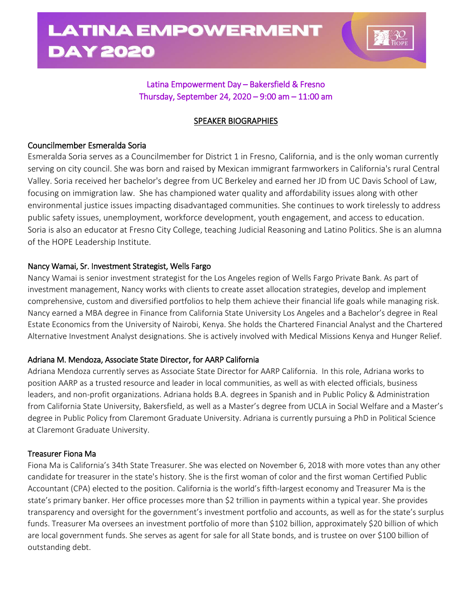

# Latina Empowerment Day – Bakersfield & Fresno Thursday, September 24, 2020 – 9:00 am – 11:00 am

# SPEAKER BIOGRAPHIES

## Councilmember Esmeralda Soria

Esmeralda Soria serves as a Councilmember for District 1 in Fresno, California, and is the only woman currently serving on city council. She was born and raised by Mexican immigrant farmworkers in California's rural Central Valley. Soria received her bachelor's degree from UC Berkeley and earned her JD from UC Davis School of Law, focusing on immigration law. She has championed water quality and affordability issues along with other environmental justice issues impacting disadvantaged communities. She continues to work tirelessly to address public safety issues, unemployment, workforce development, youth engagement, and access to education. Soria is also an educator at Fresno City College, teaching Judicial Reasoning and Latino Politics. She is an alumna of the HOPE Leadership Institute.

## Nancy Wamai, Sr. Investment Strategist, Wells Fargo

Nancy Wamai is senior investment strategist for the Los Angeles region of Wells Fargo Private Bank. As part of investment management, Nancy works with clients to create asset allocation strategies, develop and implement comprehensive, custom and diversified portfolios to help them achieve their financial life goals while managing risk. Nancy earned a MBA degree in Finance from California State University Los Angeles and a Bachelor's degree in Real Estate Economics from the University of Nairobi, Kenya. She holds the Chartered Financial Analyst and the Chartered Alternative Investment Analyst designations. She is actively involved with Medical Missions Kenya and Hunger Relief.

# Adriana M. Mendoza, Associate State Director, for AARP California

Adriana Mendoza currently serves as Associate State Director for AARP California. In this role, Adriana works to position AARP as a trusted resource and leader in local communities, as well as with elected officials, business leaders, and non-profit organizations. Adriana holds B.A. degrees in Spanish and in Public Policy & Administration from California State University, Bakersfield, as well as a Master's degree from UCLA in Social Welfare and a Master's degree in Public Policy from Claremont Graduate University. Adriana is currently pursuing a PhD in Political Science at Claremont Graduate University.

## Treasurer Fiona Ma

Fiona Ma is California's 34th State Treasurer. She was elected on November 6, 2018 with more votes than any other candidate for treasurer in the state's history. She is the first woman of color and the first woman Certified Public Accountant (CPA) elected to the position. California is the world's fifth-largest economy and Treasurer Ma is the state's primary banker. Her office processes more than \$2 trillion in payments within a typical year. She provides transparency and oversight for the government's investment portfolio and accounts, as well as for the state's surplus funds. Treasurer Ma oversees an investment portfolio of more than \$102 billion, approximately \$20 billion of which are local government funds. She serves as agent for sale for all State bonds, and is trustee on over \$100 billion of outstanding debt.